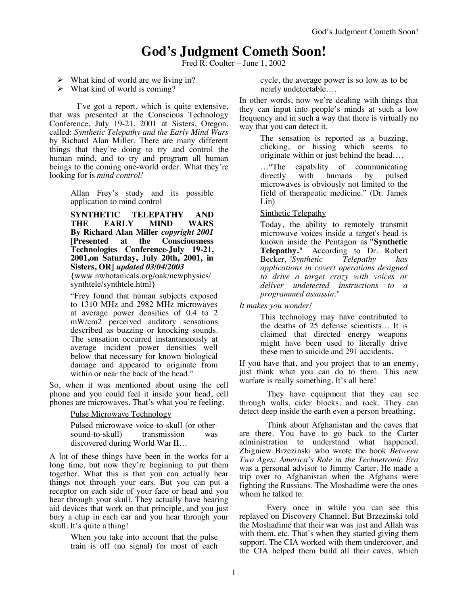# **God's Judgment Cometh Soon!**

Fred R. Coulter—June 1, 2002

- $\triangleright$  What kind of world are we living in?
- $\triangleright$  What kind of world is coming?

I've got a report, which is quite extensive, that was presented at the Conscious Technology Conference, July 19-21, 2001 at Sisters, Oregon, called: *Synthetic Telepathy and the Early Mind Wars* by Richard Alan Miller. There are many different things that they're doing to try and control the human mind, and to try and program all human beings to the coming one-world order. What they're looking for is *mind control!*

> Allan Frey's study and its possible application to mind control

> **SYNTHETIC TELEPATHY AND THE EARLY MIND WARS By Richard Alan Miller** *copyright 2001*  **[Presented at the Consciousness Technologies Conference-July 19-21, 2001,on Saturday, July 20th, 2001, in Sisters, OR]** *updated 03/04/2003*

{www.nwbotanicals.org/oak/newphysics/ synthtele/synthtele.html}

"Frey found that human subjects exposed to 1310 MHz and 2982 MHz microwaves at average power densities of 0.4 to 2 mW/cm2 perceived auditory sensations described as buzzing or knocking sounds. The sensation occurred instantaneously at average incident power densities well below that necessary for known biological damage and appeared to originate from within or near the back of the head."

So, when it was mentioned about using the cell phone and you could feel it inside your head, cell phones are microwaves. That's what you're feeling.

Pulse Microwave Technology

Pulsed microwave voice-to-skull (or other-<br>sound-to-skull) transmission was sound-to-skull) transmission discovered during World War II…

A lot of these things have been in the works for a long time, but now they're beginning to put them together. What this is that you can actually hear things not through your ears. But you can put a receptor on each side of your face or head and you hear through your skull. They actually have hearing aid devices that work on that principle, and you just bury a chip in each ear and you hear through your skull. It's quite a thing!

> When you take into account that the pulse train is off (no signal) for most of each

cycle, the average power is so low as to be nearly undetectable….

In other words, now we're dealing with things that they can input into people's minds at such a low frequency and in such a way that there is virtually no way that you can detect it.

> The sensation is reported as a buzzing, clicking, or hissing which seems to originate within or just behind the head….

> …"The capability of communicating directly with humans by pulsed microwaves is obviously not limited to the field of therapeutic medicine." (Dr. James Lin)

# **Sinthetic Telepathy**

Today, the ability to remotely transmit microwave voices inside a target's head is known inside the Pentagon as **"Synthetic Telepathy."** According to Dr. Robert Becker, *"Synthetic Telepathy has applications in covert operations designed to drive a target crazy with voices or deliver undetected instructions to a programmed assassin."*

*It makes you wonder!*

This technology may have contributed to the deaths of 25 defense scientists… It is claimed that directed energy weapons might have been used to literally drive these men to suicide and 291 accidents.

If you have that, and you project that to an enemy, just think what you can do to them. This new warfare is really something. It's all here!

They have equipment that they can see through walls, cider blocks, and rock. They can detect deep inside the earth even a person breathing.

Think about Afghanistan and the caves that are there. You have to go back to the Carter administration to understand what happened. Zbigniew Brzezinski who wrote the book *Between Two Ages: America's Role in the Technetronic Era* was a personal advisor to Jimmy Carter. He made a trip over to Afghanistan when the Afghans were fighting the Russians. The Moshadime were the ones whom he talked to.

Every once in while you can see this replayed on Discovery Channel. But Brzezinski told the Moshadime that their war was just and Allah was with them, etc. That's when they started giving them support. The CIA worked with them undercover, and the CIA helped them build all their caves, which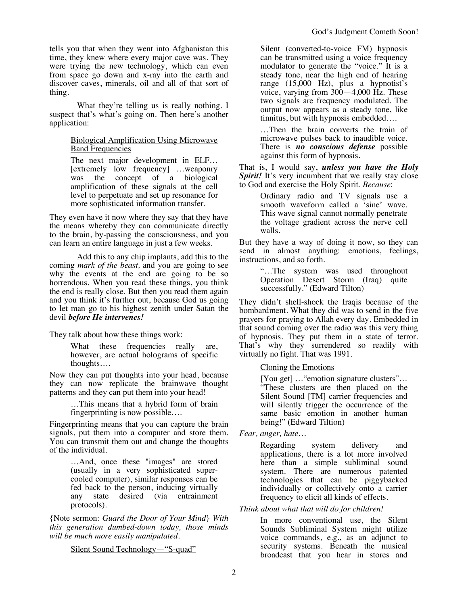tells you that when they went into Afghanistan this time, they knew where every major cave was. They were trying the new technology, which can even from space go down and x-ray into the earth and discover caves, minerals, oil and all of that sort of thing.

What they're telling us is really nothing. I suspect that's what's going on. Then here's another application:

## Biological Amplification Using Microwave **Band Frequencies**

The next major development in ELF… [extremely low frequency] …weaponry was the concept of a biological amplification of these signals at the cell level to perpetuate and set up resonance for more sophisticated information transfer.

They even have it now where they say that they have the means whereby they can communicate directly to the brain, by-passing the consciousness, and you can learn an entire language in just a few weeks.

Add this to any chip implants, add this to the coming *mark of the beast,* and you are going to see why the events at the end are going to be so horrendous. When you read these things, you think the end is really close. But then you read them again and you think it's further out, because God us going to let man go to his highest zenith under Satan the devil *before He intervenes!*

They talk about how these things work:

What these frequencies really are, however, are actual holograms of specific thoughts….

Now they can put thoughts into your head, because they can now replicate the brainwave thought patterns and they can put them into your head!

> …This means that a hybrid form of brain fingerprinting is now possible….

Fingerprinting means that you can capture the brain signals, put them into a computer and store them. You can transmit them out and change the thoughts of the individual.

> …And, once these "images" are stored (usually in a very sophisticated supercooled computer), similar responses can be fed back to the person, inducing virtually any state desired (via entrainment protocols).

{Note sermon: *Guard the Door of Your Mind*} *With this generation dumbed-down today, those minds will be much more easily manipulated.*

Silent Sound Technology—"S-quad"

Silent (converted-to-voice FM) hypnosis can be transmitted using a voice frequency modulator to generate the "voice." It is a steady tone, near the high end of hearing range (15,000 Hz), plus a hypnotist's voice, varying from  $300-4,000$  Hz. These two signals are frequency modulated. The output now appears as a steady tone, like tinnitus, but with hypnosis embedded….

…Then the brain converts the train of microwave pulses back to inaudible voice. There is *no conscious defense* possible against this form of hypnosis.

That is, I would say, *unless you have the Holy*  **Spirit!** It's very incumbent that we really stay close to God and exercise the Holy Spirit. *Because*:

> Ordinary radio and TV signals use a smooth waveform called a 'sine' wave. This wave signal cannot normally penetrate the voltage gradient across the nerve cell walls.

But they have a way of doing it now, so they can send in almost anything: emotions, feelings, instructions, and so forth.

> "…The system was used throughout Operation Desert Storm (Iraq) quite successfully." (Edward Tilton)

They didn't shell-shock the Iraqis because of the bombardment. What they did was to send in the five prayers for praying to Allah every day. Embedded in that sound coming over the radio was this very thing of hypnosis. They put them in a state of terror. That's why they surrendered so readily with virtually no fight. That was 1991.

# Cloning the Emotions

[You get] ... "emotion signature clusters"... "These clusters are then placed on the Silent Sound [TM] carrier frequencies and will silently trigger the occurrence of the same basic emotion in another human being!" (Edward Tiltion)

*Fear, anger, hate…*

Regarding system delivery and applications, there is a lot more involved here than a simple subliminal sound system. There are numerous patented technologies that can be piggybacked individually or collectively onto a carrier frequency to elicit all kinds of effects.

*Think about what that will do for children!*

In more conventional use, the Silent Sounds Subliminal System might utilize voice commands, e.g., as an adjunct to security systems. Beneath the musical broadcast that you hear in stores and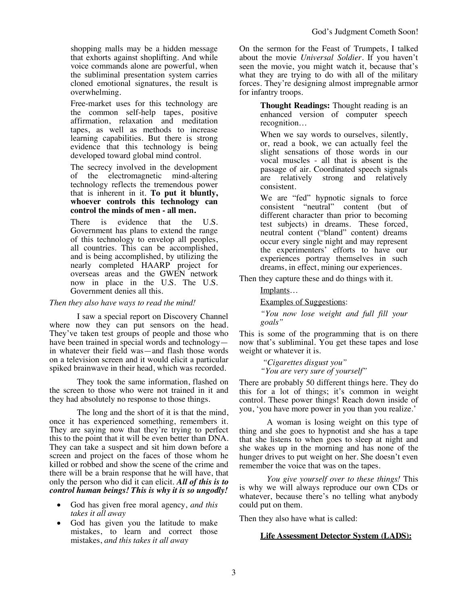shopping malls may be a hidden message that exhorts against shoplifting. And while voice commands alone are powerful, when the subliminal presentation system carries cloned emotional signatures, the result is overwhelming.

Free-market uses for this technology are the common self-help tapes, positive affirmation, relaxation and meditation tapes, as well as methods to increase learning capabilities. But there is strong evidence that this technology is being developed toward global mind control.

The secrecy involved in the development of the electromagnetic mind-altering technology reflects the tremendous power that is inherent in it. **To put it bluntly, whoever controls this technology can control the minds of men - all men.**

There is evidence that the U.S. Government has plans to extend the range of this technology to envelop all peoples, all countries. This can be accomplished, and is being accomplished, by utilizing the nearly completed HAARP project for overseas areas and the GWEN network now in place in the U.S. The U.S. Government denies all this.

## *Then they also have ways to read the mind!*

I saw a special report on Discovery Channel where now they can put sensors on the head. They've taken test groups of people and those who have been trained in special words and technology in whatever their field was—and flash those words on a television screen and it would elicit a particular spiked brainwave in their head, which was recorded.

They took the same information, flashed on the screen to those who were not trained in it and they had absolutely no response to those things.

The long and the short of it is that the mind, once it has experienced something, remembers it. They are saying now that they're trying to perfect this to the point that it will be even better than DNA. They can take a suspect and sit him down before a screen and project on the faces of those whom he killed or robbed and show the scene of the crime and there will be a brain response that he will have, that only the person who did it can elicit. *All of this is to control human beings! This is why it is so ungodly!*

- God has given free moral agency, *and this takes it all away*
- God has given you the latitude to make mistakes, to learn and correct those mistakes, *and this takes it all away*

On the sermon for the Feast of Trumpets, I talked about the movie *Universal Soldier*. If you haven't seen the movie, you might watch it, because that's what they are trying to do with all of the military forces. They're designing almost impregnable armor for infantry troops.

> **Thought Readings:** Thought reading is an enhanced version of computer speech recognition…

> When we say words to ourselves, silently, or, read a book, we can actually feel the slight sensations of those words in our vocal muscles - all that is absent is the passage of air. Coordinated speech signals are relatively strong and relatively consistent.

> We are "fed" hypnotic signals to force consistent "neutral" content (but of different character than prior to becoming test subjects) in dreams. These forced, neutral content ("bland" content) dreams occur every single night and may represent the experimenters' efforts to have our experiences portray themselves in such dreams, in effect, mining our experiences.

Then they capture these and do things with it.

# Implants…

Examples of Suggestions:

*"You now lose weight and full fill your goals"*

This is some of the programming that is on there now that's subliminal. You get these tapes and lose weight or whatever it is.

> *"Cigarettes disgust you" "You are very sure of yourself"*

There are probably 50 different things here. They do this for a lot of things; it's common in weight control. These power things! Reach down inside of you, 'you have more power in you than you realize.'

A woman is losing weight on this type of thing and she goes to hypnotist and she has a tape that she listens to when goes to sleep at night and she wakes up in the morning and has none of the hunger drives to put weight on her. She doesn't even remember the voice that was on the tapes.

*You give yourself over to these things!* This is why we will always reproduce our own CDs or whatever, because there's no telling what anybody could put on them.

Then they also have what is called:

# **Life Assessment Detector System (LADS):**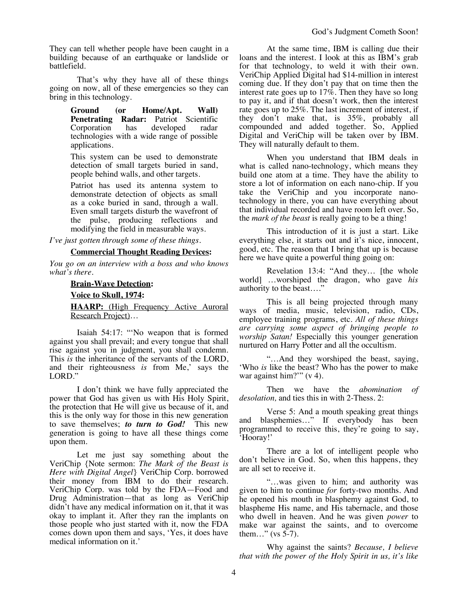They can tell whether people have been caught in a building because of an earthquake or landslide or battlefield.

That's why they have all of these things going on now, all of these emergencies so they can bring in this technology.

> **Ground (or Home/Apt. Wall) Penetrating Radar:** Patriot Scientific Corporation has developed radar technologies with a wide range of possible applications.

> This system can be used to demonstrate detection of small targets buried in sand, people behind walls, and other targets.

> Patriot has used its antenna system to demonstrate detection of objects as small as a coke buried in sand, through a wall. Even small targets disturb the wavefront of the pulse, producing reflections and modifying the field in measurable ways.

*I've just gotten through some of these things.*

#### **Commercial Thought Reading Devices:**

*You go on an interview with a boss and who knows what's there.*

#### **Brain-Wave Detection:**

#### **Voice to Skull, 1974:**

**HAARP:** (High Frequency Active Auroral Research Project)…

Isaiah 54:17: "'No weapon that is formed against you shall prevail; and every tongue that shall rise against you in judgment, you shall condemn. This *is* the inheritance of the servants of the LORD, and their righteousness *is* from Me,' says the LORD."

I don't think we have fully appreciated the power that God has given us with His Holy Spirit, the protection that He will give us because of it, and this is the only way for those in this new generation to save themselves; *to turn to God!* This new generation is going to have all these things come upon them.

Let me just say something about the VeriChip {Note sermon: *The Mark of the Beast is Here with Digital Angel*} VeriChip Corp. borrowed their money from IBM to do their research. VeriChip Corp. was told by the FDA—Food and Drug Administration—that as long as VeriChip didn't have any medical information on it, that it was okay to implant it. After they ran the implants on those people who just started with it, now the FDA comes down upon them and says, 'Yes, it does have medical information on it.'

At the same time, IBM is calling due their loans and the interest. I look at this as IBM's grab for that technology, to weld it with their own. VeriChip Applied Digital had \$14-million in interest coming due. If they don't pay that on time then the interest rate goes up to  $17\%$ . Then they have so long to pay it, and if that doesn't work, then the interest rate goes up to 25%. The last increment of interest, if they don't make that, is 35%, probably all compounded and added together. So, Applied Digital and VeriChip will be taken over by IBM. They will naturally default to them.

When you understand that IBM deals in what is called nano-technology, which means they build one atom at a time. They have the ability to store a lot of information on each nano-chip. If you take the VeriChip and you incorporate nanotechnology in there, you can have everything about that individual recorded and have room left over. So, the *mark of the beast* is really going to be a thing!

This introduction of it is just a start. Like everything else, it starts out and it's nice, innocent, good, etc. The reason that I bring that up is because here we have quite a powerful thing going on:

Revelation 13:4: "And they… [the whole world] …worshiped the dragon, who gave *his* authority to the beast…."

This is all being projected through many ways of media, music, television, radio, CDs, employee training programs, etc. *All of these things are carrying some aspect of bringing people to worship Satan!* Especially this younger generation nurtured on Harry Potter and all the occultism.

"…And they worshiped the beast, saying, 'Who *is* like the beast? Who has the power to make war against him?"" (v 4).

Then we have the *abomination of desolation,* and ties this in with 2-Thess. 2:

Verse 5: And a mouth speaking great things and blasphemies…" If everybody has been programmed to receive this, they're going to say, 'Hooray!'

There are a lot of intelligent people who don't believe in God. So, when this happens, they are all set to receive it.

"…was given to him; and authority was given to him to continue *for* forty-two months. And he opened his mouth in blasphemy against God, to blaspheme His name, and His tabernacle, and those who dwell in heaven. And he was given *power* to make war against the saints, and to overcome them..." (vs  $5-7$ ).

Why against the saints? *Because, I believe that with the power of the Holy Spirit in us, it's like*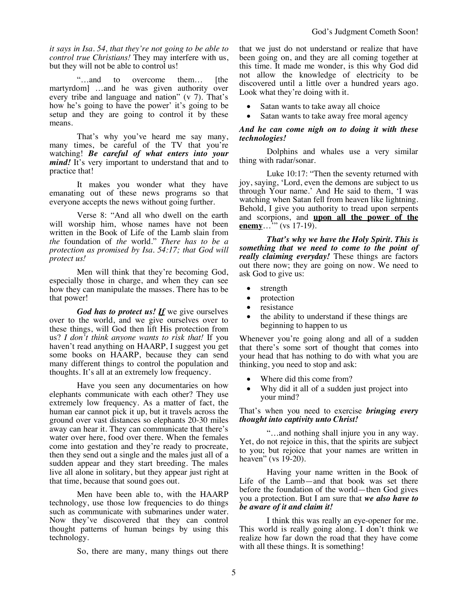*it says in Isa. 54, that they're not going to be able to control true Christians!* They may interfere with us, but they will not be able to control us!

"…and to overcome them… [the martyrdom] …and he was given authority over every tribe and language and nation" (v 7). That's how he's going to have the power' it's going to be setup and they are going to control it by these means.

That's why you've heard me say many, many times, be careful of the TV that you're watching! *Be careful of what enters into your mind!* It's very important to understand that and to practice that!

It makes you wonder what they have emanating out of these news programs so that everyone accepts the news without going further.

Verse 8: "And all who dwell on the earth will worship him, whose names have not been written in the Book of Life of the Lamb slain from *the* foundation of *the* world." *There has to be a protection as promised by Isa. 54:17; that God will protect us!*

Men will think that they're becoming God, especially those in charge, and when they can see how they can manipulate the masses. There has to be that power!

*God has to protect us! If* we give ourselves over to the world, and we give ourselves over to these things, will God then lift His protection from us? *I don't think anyone wants to risk that!* If you haven't read anything on HAARP, I suggest you get some books on HAARP, because they can send many different things to control the population and thoughts. It's all at an extremely low frequency.

Have you seen any documentaries on how elephants communicate with each other? They use extremely low frequency. As a matter of fact, the human ear cannot pick it up, but it travels across the ground over vast distances so elephants 20-30 miles away can hear it. They can communicate that there's water over here, food over there. When the females come into gestation and they're ready to procreate, then they send out a single and the males just all of a sudden appear and they start breeding. The males live all alone in solitary, but they appear just right at that time, because that sound goes out.

Men have been able to, with the HAARP technology, use those low frequencies to do things such as communicate with submarines under water. Now they've discovered that they can control thought patterns of human beings by using this technology.

So, there are many, many things out there

that we just do not understand or realize that have been going on, and they are all coming together at this time. It made me wonder, is this why God did not allow the knowledge of electricity to be discovered until a little over a hundred years ago. Look what they're doing with it.

- Satan wants to take away all choice
- Satan wants to take away free moral agency

## *And he can come nigh on to doing it with these technologies!*

Dolphins and whales use a very similar thing with radar/sonar.

Luke 10:17: "Then the seventy returned with joy, saying, 'Lord, even the demons are subject to us through Your name.' And He said to them, 'I was watching when Satan fell from heaven like lightning. Behold, I give you authority to tread upon serpents and scorpions, and **upon all the power of the enemy**…<sup>"</sup>" (vs 17-19).

*That's why we have the Holy Spirit. This is something that we need to come to the point of really claiming everyday!* These things are factors out there now; they are going on now. We need to ask God to give us:

- strength
- protection
- resistance
- the ability to understand if these things are beginning to happen to us

Whenever you're going along and all of a sudden that there's some sort of thought that comes into your head that has nothing to do with what you are thinking, you need to stop and ask:

- Where did this come from?
- Why did it all of a sudden just project into your mind?

That's when you need to exercise *bringing every thought into captivity unto Christ!*

"…and nothing shall injure you in any way. Yet, do not rejoice in this, that the spirits are subject to you; but rejoice that your names are written in heaven" (vs 19-20).

Having your name written in the Book of Life of the Lamb—and that book was set there before the foundation of the world—then God gives you a protection. But I am sure that *we also have to be aware of it and claim it!*

I think this was really an eye-opener for me. This world is really going along. I don't think we realize how far down the road that they have come with all these things. It is something!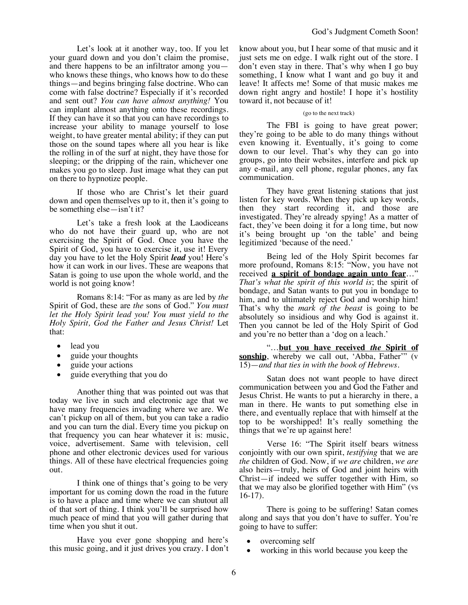Let's look at it another way, too. If you let your guard down and you don't claim the promise, and there happens to be an infiltrator among you who knows these things, who knows how to do these things—and begins bringing false doctrine. Who can come with false doctrine? Especially if it's recorded and sent out? *You can have almost anything!* You can implant almost anything onto these recordings. If they can have it so that you can have recordings to increase your ability to manage yourself to lose weight, to have greater mental ability; if they can put those on the sound tapes where all you hear is like the rolling in of the surf at night, they have those for sleeping; or the dripping of the rain, whichever one makes you go to sleep. Just image what they can put on there to hypnotize people.

If those who are Christ's let their guard down and open themselves up to it, then it's going to be something else—isn't it?

Let's take a fresh look at the Laodiceans who do not have their guard up, who are not exercising the Spirit of God. Once you have the Spirit of God, you have to exercise it, use it! Every day you have to let the Holy Spirit *lead* you! Here's how it can work in our lives. These are weapons that Satan is going to use upon the whole world, and the world is not going know!

Romans 8:14: "For as many as are led by *the* Spirit of God, these are *the* sons of God." *You must let the Holy Spirit lead you! You must yield to the Holy Spirit, God the Father and Jesus Christ!* Let that:

- lead you
- guide your thoughts
- guide your actions
- guide everything that you do

Another thing that was pointed out was that today we live in such and electronic age that we have many frequencies invading where we are. We can't pickup on all of them, but you can take a radio and you can turn the dial. Every time you pickup on that frequency you can hear whatever it is: music, voice, advertisement. Same with television, cell phone and other electronic devices used for various things. All of these have electrical frequencies going out.

I think one of things that's going to be very important for us coming down the road in the future is to have a place and time where we can shutout all of that sort of thing. I think you'll be surprised how much peace of mind that you will gather during that time when you shut it out.

Have you ever gone shopping and here's this music going, and it just drives you crazy. I don't know about you, but I hear some of that music and it just sets me on edge. I walk right out of the store. I don't even stay in there. That's why when I go buy something, I know what I want and go buy it and leave! It affects me! Some of that music makes me down right angry and hostile! I hope it's hostility toward it, not because of it!

#### (go to the next track)

The FBI is going to have great power; they're going to be able to do many things without even knowing it. Eventually, it's going to come down to our level. That's why they can go into groups, go into their websites, interfere and pick up any e-mail, any cell phone, regular phones, any fax communication.

They have great listening stations that just listen for key words. When they pick up key words, then they start recording it, and those are investigated. They're already spying! As a matter of fact, they've been doing it for a long time, but now it's being brought up 'on the table' and being legitimized 'because of the need.'

Being led of the Holy Spirit becomes far more profound, Romans 8:15: "Now, you have not received **a spirit of bondage again unto fear**…" *That's what the spirit of this world is*; the spirit of bondage, and Satan wants to put you in bondage to him, and to ultimately reject God and worship him! That's why the *mark of the beast* is going to be absolutely so insidious and why God is against it. Then you cannot be led of the Holy Spirit of God and you're no better than a 'dog on a leach.'

"…**but you have received** *the* **Spirit of sonship**, whereby we call out, 'Abba, Father'" (v 15)—*and that ties in with the book of Hebrews.* 

Satan does not want people to have direct communication between you and God the Father and Jesus Christ. He wants to put a hierarchy in there, a man in there. He wants to put something else in there, and eventually replace that with himself at the top to be worshipped! It's really something the things that we're up against here!

Verse 16: "The Spirit itself bears witness conjointly with our own spirit, *testifying* that we are *the* children of God. Now, if *we are* children, *we are* also heirs—truly, heirs of God and joint heirs with Christ—if indeed we suffer together with Him, so that we may also be glorified together with Him" (vs 16-17).

There is going to be suffering! Satan comes along and says that you don't have to suffer. You're going to have to suffer:

- overcoming self
- working in this world because you keep the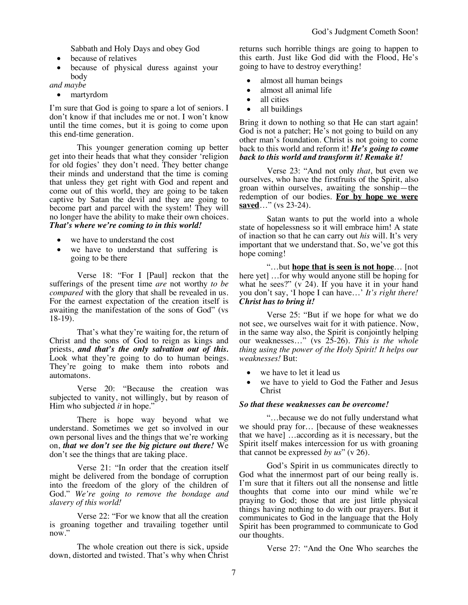Sabbath and Holy Days and obey God

- because of relatives
- because of physical duress against your body

*and maybe*

• martyrdom

I'm sure that God is going to spare a lot of seniors. I don't know if that includes me or not. I won't know until the time comes, but it is going to come upon this end-time generation.

This younger generation coming up better get into their heads that what they consider 'religion for old fogies' they don't need. They better change their minds and understand that the time is coming that unless they get right with God and repent and come out of this world, they are going to be taken captive by Satan the devil and they are going to become part and parcel with the system! They will no longer have the ability to make their own choices. *That's where we're coming to in this world!*

- we have to understand the cost
- we have to understand that suffering is going to be there

Verse 18: "For I [Paul] reckon that the sufferings of the present time *are* not worthy *to be compared* with the glory that shall be revealed in us. For the earnest expectation of the creation itself is awaiting the manifestation of the sons of God" (vs 18-19).

That's what they're waiting for, the return of Christ and the sons of God to reign as kings and priests, *and that's the only salvation out of this.* Look what they're going to do to human beings. They're going to make them into robots and automatons.

Verse 20: "Because the creation was subjected to vanity, not willingly, but by reason of Him who subjected *it* in hope."

There is hope way beyond what we understand. Sometimes we get so involved in our own personal lives and the things that we're working on, *that we don't see the big picture out there!* We don't see the things that are taking place.

Verse 21: "In order that the creation itself might be delivered from the bondage of corruption into the freedom of the glory of the children of God." *We're going to remove the bondage and slavery of this world!* 

Verse 22: "For we know that all the creation is groaning together and travailing together until now."

The whole creation out there is sick, upside down, distorted and twisted. That's why when Christ

returns such horrible things are going to happen to this earth. Just like God did with the Flood, He's going to have to destroy everything!

- almost all human beings
- almost all animal life
- all cities
- all buildings

Bring it down to nothing so that He can start again! God is not a patcher; He's not going to build on any other man's foundation. Christ is not going to come back to this world and reform it! *He's going to come back to this world and transform it! Remake it!*

Verse 23: "And not only *that*, but even we ourselves, who have the firstfruits of the Spirit, also groan within ourselves, awaiting the sonship—the redemption of our bodies. **For by hope we were saved**…" (vs 23-24).

Satan wants to put the world into a whole state of hopelessness so it will embrace him! A state of inaction so that he can carry out *his* will. It's very important that we understand that. So, we've got this hope coming!

"…but **hope that is seen is not hope**… [not here yet] …for why would anyone still be hoping for what he sees?" (v 24). If you have it in your hand you don't say, 'I hope I can have…' *It's right there! Christ has to bring it!*

Verse 25: "But if we hope for what we do not see, we ourselves wait for it with patience. Now, in the same way also, the Spirit is conjointly helping our weaknesses…" (vs 25-26). *This is the whole thing using the power of the Holy Spirit! It helps our weaknesses!* But:

- we have to let it lead us
- we have to yield to God the Father and Jesus Christ

## *So that these weaknesses can be overcome!*

"…because we do not fully understand what we should pray for… [because of these weaknesses that we have] …according as it is necessary, but the Spirit itself makes intercession for us with groaning that cannot be expressed *by us*" (v 26).

God's Spirit in us communicates directly to God what the innermost part of our being really is. I'm sure that it filters out all the nonsense and little thoughts that come into our mind while we're praying to God; those that are just little physical things having nothing to do with our prayers. But it communicates to God in the language that the Holy Spirit has been programmed to communicate to God our thoughts.

Verse 27: "And the One Who searches the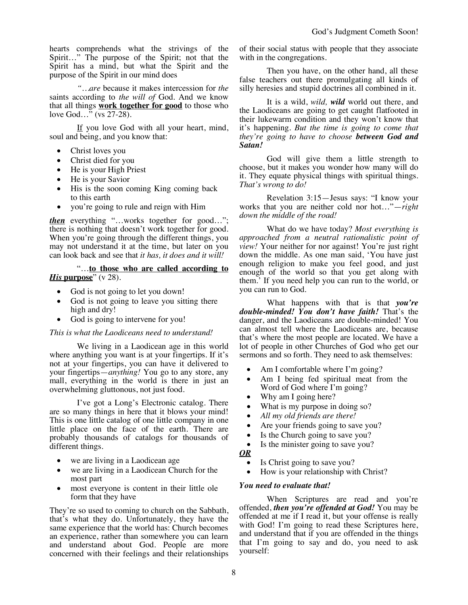hearts comprehends what the strivings of the Spirit…" The purpose of the Spirit; not that the Spirit has a mind, but what the Spirit and the purpose of the Spirit in our mind does

*"…are* because it makes intercession for *the* saints according to *the will of* God. And we know that all things **work together for good** to those who love God…" (vs 27-28).

If you love God with all your heart, mind, soul and being, and you know that:

- Christ loves you
- Christ died for you
- He is your High Priest
- He is your Savior
- His is the soon coming King coming back to this earth
- you're going to rule and reign with Him

*then* everything "…works together for good…"; there is nothing that doesn't work together for good. When you're going through the different things, you may not understand it at the time, but later on you can look back and see that *it has, it does and it will!*

## "…**to those who are called according to**  *His* **purpose**" (v 28).

- God is not going to let you down!
- God is not going to leave you sitting there high and dry!
- God is going to intervene for you!

## *This is what the Laodiceans need to understand!*

We living in a Laodicean age in this world where anything you want is at your fingertips. If it's not at your fingertips, you can have it delivered to your fingertips—*anything!* You go to any store, any mall, everything in the world is there in just an overwhelming gluttonous, not just food.

I've got a Long's Electronic catalog. There are so many things in here that it blows your mind! This is one little catalog of one little company in one little place on the face of the earth. There are probably thousands of catalogs for thousands of different things.

- we are living in a Laodicean age
- we are living in a Laodicean Church for the most part
- most everyone is content in their little ole form that they have

They're so used to coming to church on the Sabbath, that's what they do. Unfortunately, they have the same experience that the world has: Church becomes an experience, rather than somewhere you can learn and understand about God. People are more concerned with their feelings and their relationships of their social status with people that they associate with in the congregations.

Then you have, on the other hand, all these false teachers out there promulgating all kinds of silly heresies and stupid doctrines all combined in it.

It is a wild, *wild, wild* world out there, and the Laodiceans are going to get caught flatfooted in their lukewarm condition and they won't know that it's happening. *But the time is going to come that they're going to have to choose between God and Satan!*

God will give them a little strength to choose, but it makes you wonder how many will do it. They equate physical things with spiritual things. *That's wrong to do!*

Revelation 3:15—Jesus says: "I know your works that you are neither cold nor hot…"—*right down the middle of the road!* 

What do we have today? *Most everything is approached from a neutral rationalistic point of view!* Your neither for nor against! You're just right down the middle. As one man said, 'You have just enough religion to make you feel good, and just enough of the world so that you get along with them.' If you need help you can run to the world, or you can run to God.

What happens with that is that *you're double-minded! You don't have faith!* That's the danger, and the Laodiceans are double-minded! You can almost tell where the Laodiceans are, because that's where the most people are located. We have a lot of people in other Churches of God who get our sermons and so forth. They need to ask themselves:

- Am I comfortable where I'm going?
- Am I being fed spiritual meat from the Word of God where I'm going?
- Why am I going here?
- What is my purpose in doing so?
- *All my old friends are there!*
- Are your friends going to save you?
- Is the Church going to save you?
- Is the minister going to save you?
- *OR*
	- Is Christ going to save you?
	- How is your relationship with Christ?

## *You need to evaluate that!*

When Scriptures are read and you're offended, *then you're offended at God!* You may be offended at me if I read it, but your offense is really with God! I'm going to read these Scriptures here, and understand that if you are offended in the things that I'm going to say and do, you need to ask yourself: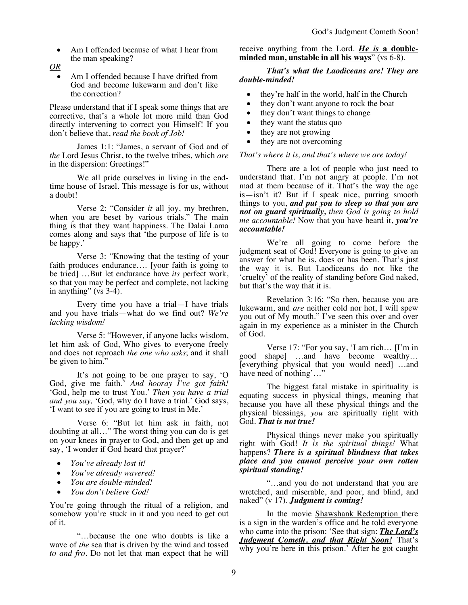- Am I offended because of what I hear from the man speaking?
- *OR*
	- Am I offended because I have drifted from God and become lukewarm and don't like the correction?

Please understand that if I speak some things that are corrective, that's a whole lot more mild than God directly intervening to correct you Himself! If you don't believe that, *read the book of Job!*

James 1:1: "James, a servant of God and of *the* Lord Jesus Christ, to the twelve tribes, which *are* in the dispersion: Greetings!"

We all pride ourselves in living in the endtime house of Israel. This message is for us, without a doubt!

Verse 2: "Consider *it* all joy, my brethren, when you are beset by various trials." The main thing is that they want happiness. The Dalai Lama comes along and says that 'the purpose of life is to be happy.'

Verse 3: "Knowing that the testing of your faith produces endurance.... [your faith is going to be tried] …But let endurance have *its* perfect work, so that you may be perfect and complete, not lacking in anything" (vs  $3-4$ ).

Every time you have a trial—I have trials and you have trials—what do we find out? *We're lacking wisdom!*

Verse 5: "However, if anyone lacks wisdom, let him ask of God, Who gives to everyone freely and does not reproach *the one who asks*; and it shall be given to him."

It's not going to be one prayer to say, 'O God, give me faith.' *And hooray I've got faith!* 'God, help me to trust You.' *Then you have a trial and you say,* 'God, why do I have a trial.' God says, 'I want to see if you are going to trust in Me.'

Verse 6: "But let him ask in faith, not doubting at all…" The worst thing you can do is get on your knees in prayer to God, and then get up and say, 'I wonder if God heard that prayer?'

- *You've already lost it!*
- *You've already wavered!*
- *You are double-minded!*
- *You don't believe God!*

You're going through the ritual of a religion, and somehow you're stuck in it and you need to get out of it.

"…because the one who doubts is like a wave of *the* sea that is driven by the wind and tossed *to and fro*. Do not let that man expect that he will receive anything from the Lord. *He is* **a doubleminded man, unstable in all his ways**" (vs 6-8).

# *That's what the Laodiceans are! They are double-minded!*

- they're half in the world, half in the Church
- they don't want anyone to rock the boat
- they don't want things to change
- they want the status quo
- they are not growing
- they are not overcoming

### *That's where it is, and that's where we are today!*

There are a lot of people who just need to understand that. I'm not angry at people. I'm not mad at them because of it. That's the way the age is—isn't it? But if I speak nice, purring smooth things to you, *and put you to sleep so that you are not on guard spiritually, then God is going to hold me accountable!* Now that you have heard it, *you're accountable!*

We're all going to come before the judgment seat of God! Everyone is going to give an answer for what he is, does or has been. That's just the way it is. But Laodiceans do not like the 'cruelty' of the reality of standing before God naked, but that's the way that it is.

Revelation 3:16: "So then, because you are lukewarm, and *are* neither cold nor hot, I will spew you out of My mouth." I've seen this over and over again in my experience as a minister in the Church of God.

Verse 17: "For you say, 'I am rich… [I'm in good shape] …and have become wealthy… [everything physical that you would need] …and have need of nothing'…"

The biggest fatal mistake in spirituality is equating success in physical things, meaning that because you have all these physical things and the physical blessings, *you* are spiritually right with God. *That is not true!*

Physical things never make you spiritually right with God! *It is the spiritual things!* What happens? *There is a spiritual blindness that takes place and you cannot perceive your own rotten spiritual standing!*

"…and you do not understand that you are wretched, and miserable, and poor, and blind, and naked" (v 17). *Judgment is coming!*

In the movie Shawshank Redemption there is a sign in the warden's office and he told everyone who came into the prison: 'See that sign: *The Lord's Judgment Cometh, and that Right Soon!* That's why you're here in this prison.' After he got caught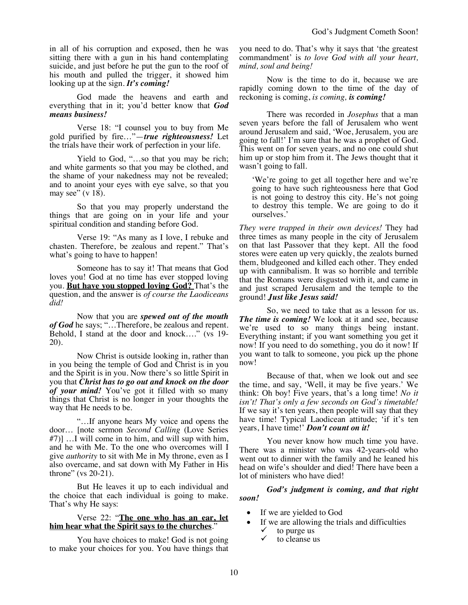in all of his corruption and exposed, then he was sitting there with a gun in his hand contemplating suicide, and just before he put the gun to the roof of his mouth and pulled the trigger, it showed him looking up at the sign. *It's coming!*

God made the heavens and earth and everything that in it; you'd better know that *God means business!*

Verse 18: "I counsel you to buy from Me gold purified by fire…"—*true righteousness!* Let the trials have their work of perfection in your life.

Yield to God, "…so that you may be rich; and white garments so that you may be clothed, and the shame of your nakedness may not be revealed; and to anoint your eyes with eye salve, so that you may see"  $(v 18)$ .

So that you may properly understand the things that are going on in your life and your spiritual condition and standing before God.

Verse 19: "As many as I love, I rebuke and chasten. Therefore, be zealous and repent." That's what's going to have to happen!

Someone has to say it! That means that God loves you! God at no time has ever stopped loving you. **But have you stopped loving God?** That's the question, and the answer is *of course the Laodiceans did!*

Now that you are *spewed out of the mouth of God* he says; "…Therefore, be zealous and repent. Behold, I stand at the door and knock...." (vs 19-20).

Now Christ is outside looking in, rather than in you being the temple of God and Christ is in you and the Spirit is in you. Now there's so little Spirit in you that *Christ has to go out and knock on the door of your mind!* You've got it filled with so many things that Christ is no longer in your thoughts the way that He needs to be.

"…If anyone hears My voice and opens the door… [note sermon *Second Calling* (Love Series #7)] …I will come in to him, and will sup with him, and he with Me. To the one who overcomes will I give *authority* to sit with Me in My throne, even as I also overcame, and sat down with My Father in His throne" (vs 20-21).

But He leaves it up to each individual and the choice that each individual is going to make. That's why He says:

#### Verse 22: "**The one who has an ear, let him hear what the Spirit says to the churches**."

You have choices to make! God is not going to make your choices for you. You have things that you need to do. That's why it says that 'the greatest commandment' is *to love God with all your heart, mind, soul and being!*

Now is the time to do it, because we are rapidly coming down to the time of the day of reckoning is coming, *is coming, is coming!*

There was recorded in *Josephus* that a man seven years before the fall of Jerusalem who went around Jerusalem and said, 'Woe, Jerusalem, you are going to fall!' I'm sure that he was a prophet of God. This went on for seven years, and no one could shut him up or stop him from it. The Jews thought that it wasn't going to fall.

'We're going to get all together here and we're going to have such righteousness here that God is not going to destroy this city. He's not going to destroy this temple. We are going to do it ourselves.'

*They were trapped in their own devices!* They had three times as many people in the city of Jerusalem on that last Passover that they kept. All the food stores were eaten up very quickly, the zealots burned them, bludgeoned and killed each other. They ended up with cannibalism. It was so horrible and terrible that the Romans were disgusted with it, and came in and just scraped Jerusalem and the temple to the ground! *Just like Jesus said!*

So, we need to take that as a lesson for us. *The time is coming!* We look at it and see, because we're used to so many things being instant. Everything instant; if you want something you get it now! If you need to do something, you do it now! If you want to talk to someone, you pick up the phone now!

Because of that, when we look out and see the time, and say, 'Well, it may be five years.' We think: Oh boy! Five years, that's a long time! *No it isn't! That's only a few seconds on God's timetable!*  If we say it's ten years, then people will say that they have time! Typical Laodicean attitude; 'if it's ten years, I have time!' *Don't count on it!*

You never know how much time you have. There was a minister who was 42-years-old who went out to dinner with the family and he leaned his head on wife's shoulder and died! There have been a lot of ministers who have died!

# *God's judgment is coming, and that right soon!*

- If we are yielded to God
- If we are allowing the trials and difficulties
	- to purge us
	- to cleanse us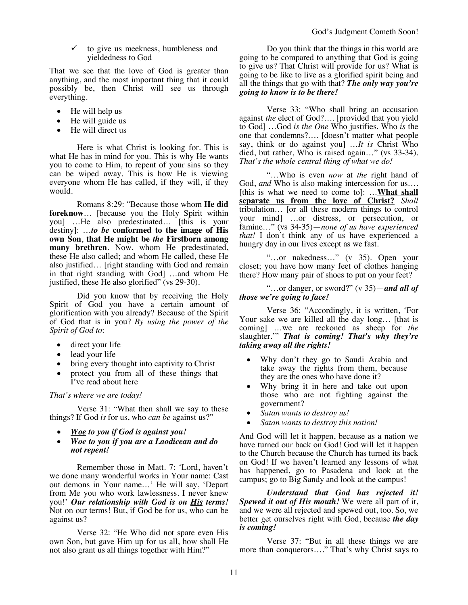$\checkmark$  to give us meekness, humbleness and yieldedness to God

That we see that the love of God is greater than anything, and the most important thing that it could possibly be, then Christ will see us through everything.

- He will help us
- He will guide us
- He will direct us

Here is what Christ is looking for. This is what He has in mind for you. This is why He wants you to come to Him, to repent of your sins so they can be wiped away. This is how He is viewing everyone whom He has called, if they will, if they would.

Romans 8:29: "Because those whom **He did foreknow**… [because you the Holy Spirit within you] …He also predestinated… [this is your destiny]: …*to be* **conformed to the image of His own Son**, **that He might be** *the* **Firstborn among many brethren**. Now, whom He predestinated, these He also called; and whom He called, these He also justified… [right standing with God and remain in that right standing with God] …and whom He justified, these He also glorified" (vs 29-30).

Did you know that by receiving the Holy Spirit of God you have a certain amount of glorification with you already? Because of the Spirit of God that is in you? *By using the power of the Spirit of God to*:

- direct your life
- lead your life
- bring every thought into captivity to Christ
- protect you from all of these things that I've read about here

## *That's where we are today!*

Verse 31: "What then shall we say to these things? If God *is* for us, who *can be* against us?"

- *Woe to you if God is against you!*
- *Woe to you if you are a Laodicean and do not repent!*

Remember those in Matt. 7: 'Lord, haven't we done many wonderful works in Your name: Cast out demons in Your name…' He will say, 'Depart from Me you who work lawlessness. I never knew you!' *Our relationship with God is on His terms!* Not on our terms! But, if God be for us, who can be against us?

Verse 32: "He Who did not spare even His own Son, but gave Him up for us all, how shall He not also grant us all things together with Him?"

Do you think that the things in this world are going to be compared to anything that God is going to give us? That Christ will provide for us? What is going to be like to live as a glorified spirit being and all the things that go with that? *The only way you're going to know is to be there!*

Verse 33: "Who shall bring an accusation against *the* elect of God?…. [provided that you yield to God] …God *is the One* Who justifies. Who *is* the one that condemns?…. [doesn't matter what people say, think or do against you] …*It is* Christ Who died, but rather, Who is raised again…" (vs 33-34). *That's the whole central thing of what we do!*

"…Who is even *now* at *the* right hand of God, *and* Who is also making intercession for us…. [this is what we need to come to]: …**What shall separate us from the love of Christ?** *Shall* tribulation… [or all these modern things to control your mind] …or distress, or persecution, or famine…" (vs 34-35)—*none of us have experienced that!* I don't think any of us have experienced a hungry day in our lives except as we fast.

"…or nakedness…" (v 35). Open your closet; you have how many feet of clothes hanging there? How many pair of shoes to put on your feet?

"…or danger, or sword?" (v 35)—*and all of those we're going to face!*

Verse 36: "Accordingly, it is written, 'For Your sake we are killed all the day long... [that is coming] …we are reckoned as sheep for *the* slaughter.'" *That is coming! That's why they're taking away all the rights!* 

- Why don't they go to Saudi Arabia and take away the rights from them, because they are the ones who have done it?
- Why bring it in here and take out upon those who are not fighting against the government?
- *Satan wants to destroy us!*
- *Satan wants to destroy this nation!*

And God will let it happen, because as a nation we have turned our back on God! God will let it happen to the Church because the Church has turned its back on God! If we haven't learned any lessons of what has happened, go to Pasadena and look at the campus; go to Big Sandy and look at the campus!

*Understand that God has rejected it! Spewed it out of His mouth!* We were all part of it, and we were all rejected and spewed out, too. So, we better get ourselves right with God, because *the day is coming!*

Verse 37: "But in all these things we are more than conquerors…." That's why Christ says to